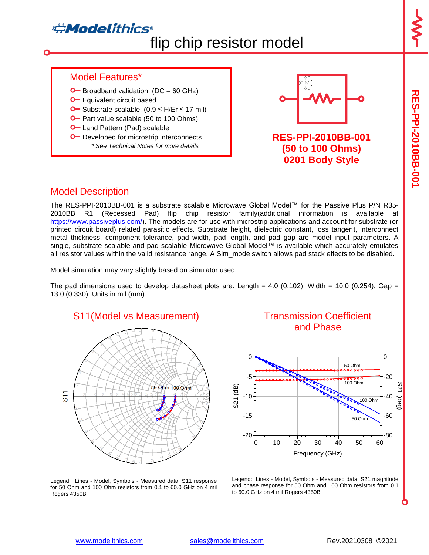# **Adelithics®** flip chip resistor model

**RES-PPI-2010BB-001**

**RES-PPI-2010B9-001** 

#### Model Features\*

- $\bullet$  Broadband validation: (DC 60 GHz)
- **O** Equivalent circuit based
- Substrate scalable: (0.9 ≤ H/Er ≤ 17 mil)
- **O** Part value scalable (50 to 100 Ohms)
- **O** Land Pattern (Pad) scalable
- **O** Developed for microstrip interconnects *\* See Technical Notes for more details*



**RES-PPI-2010BB-001 (50 to 100 Ohms) 0201 Body Style**

### Model Description

The RES-PPI-2010BB-001 is a substrate scalable Microwave Global Model™ for the Passive Plus P/N R35- 2010BB R1 (Recessed Pad) flip chip resistor family(additional information is available at [https://www.passiveplus.com/\)](https://www.passiveplus.com/). The models are for use with microstrip applications and account for substrate (or printed circuit board) related parasitic effects. Substrate height, dielectric constant, loss tangent, interconnect metal thickness, component tolerance, pad width, pad length, and pad gap are model input parameters. A single, substrate scalable and pad scalable Microwave Global Model™ is available which accurately emulates all resistor values within the valid resistance range. A Sim mode switch allows pad stack effects to be disabled.

Model simulation may vary slightly based on simulator used.

The pad dimensions used to develop datasheet plots are: Length =  $4.0$  (0.102), Width =  $10.0$  (0.254), Gap = 13.0 (0.330). Units in mil (mm).



#### Transmission Coefficient and Phase



Legend: Lines - Model, Symbols - Measured data. S21 magnitude and phase response for 50 Ohm and 100 Ohm resistors from 0.1 to 60.0 GHz on 4 mil Rogers 4350B

Legend: Lines - Model, Symbols - Measured data. S11 response for 50 Ohm and 100 Ohm resistors from 0.1 to 60.0 GHz on 4 mil Rogers 4350B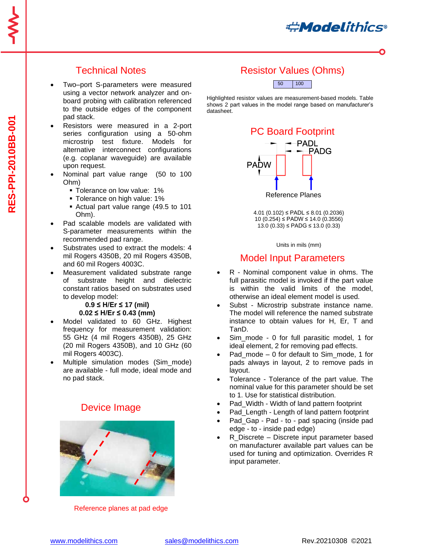**#Modelithics** 

# Technical Notes

- Two–port S-parameters were measured using a vector network analyzer and onboard probing with calibration referenced to the outside edges of the component pad stack.
- Resistors were measured in a 2-port series configuration using a 50-ohm microstrip test fixture. Models for alternative interconnect configurations (e.g. coplanar waveguide) are available upon request.
- Nominal part value range (50 to 100 Ohm)
	- **Tolerance on low value: 1%**
	- **Tolerance on high value: 1%**
	- Actual part value range (49.5 to 101 Ohm).
- Pad scalable models are validated with S-parameter measurements within the recommended pad range.
- Substrates used to extract the models: 4 mil Rogers 4350B, 20 mil Rogers 4350B, and 60 mil Rogers 4003C.
- Measurement validated substrate range of substrate height and dielectric constant ratios based on substrates used to develop model:

#### **0.9 ≤ H/Er ≤ 17 (mil) 0.02 ≤ H/Er ≤ 0.43 (mm)**

- Model validated to 60 GHz. Highest frequency for measurement validation: 55 GHz (4 mil Rogers 4350B), 25 GHz (20 mil Rogers 4350B), and 10 GHz (60 mil Rogers 4003C).
- Multiple simulation modes (Sim\_mode) are available - full mode, ideal mode and no pad stack.

### Device Image



Reference planes at pad edge

# Resistor Values (Ohms)



Highlighted resistor values are measurement-based models. Table shows 2 part values in the model range based on manufacturer's datasheet.



4.01 (0.102) ≤ PADL ≤ 8.01 (0.2036) 10 (0.254) ≤ PADW ≤ 14.0 (0.3556) 13.0 (0.33) ≤ PADG ≤ 13.0 (0.33)

Units in mils (mm)

#### Model Input Parameters

- R Nominal component value in ohms. The full parasitic model is invoked if the part value is within the valid limits of the model, otherwise an ideal element model is used.
- Subst Microstrip substrate instance name. The model will reference the named substrate instance to obtain values for H, Er, T and TanD.
- Sim\_mode 0 for full parasitic model, 1 for ideal element, 2 for removing pad effects.
- Pad mode  $-0$  for default to Sim\_mode, 1 for pads always in layout, 2 to remove pads in layout.
- Tolerance Tolerance of the part value. The nominal value for this parameter should be set to 1. Use for statistical distribution.
- Pad\_Width Width of land pattern footprint
- Pad Length Length of land pattern footprint
- Pad Gap Pad to pad spacing (inside pad edge - to - inside pad edge)
- R Discrete Discrete input parameter based on manufacturer available part values can be used for tuning and optimization. Overrides R input parameter.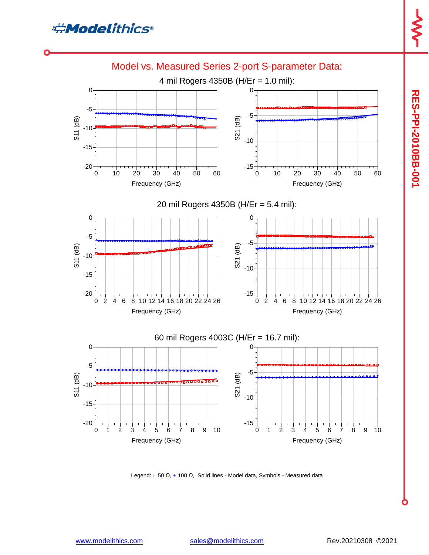



Legend:  $□$  50 Ω, + 100 Ω, Solid lines - Model data, Symbols - Measured data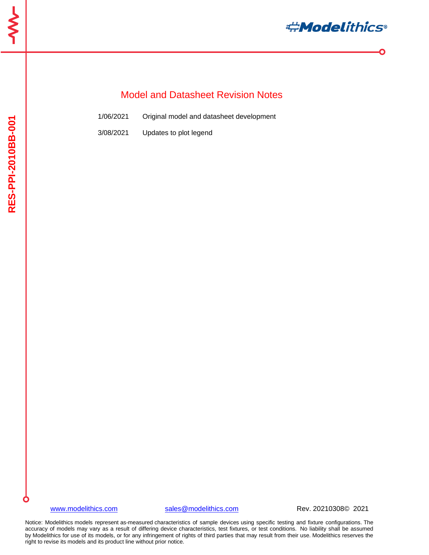

 $\bullet$ 

# Model and Datasheet Revision Notes

| 1/06/2021 | Original model and datasheet development |  |  |
|-----------|------------------------------------------|--|--|
|           |                                          |  |  |

3/08/2021 Updates to plot legend

#### [www.modelithics.com](http://www.modelithics.com/) [sales@modelithics.com](mailto:sales@modelithics.com) Rev. 20210308© 2021

Notice: Modelithics models represent as-measured characteristics of sample devices using specific testing and fixture configurations. The accuracy of models may vary as a result of differing device characteristics, test fixtures, or test conditions. No liability shall be assumed by Modelithics for use of its models, or for any infringement of rights of third parties that may result from their use. Modelithics reserves the right to revise its models and its product line without prior notice.